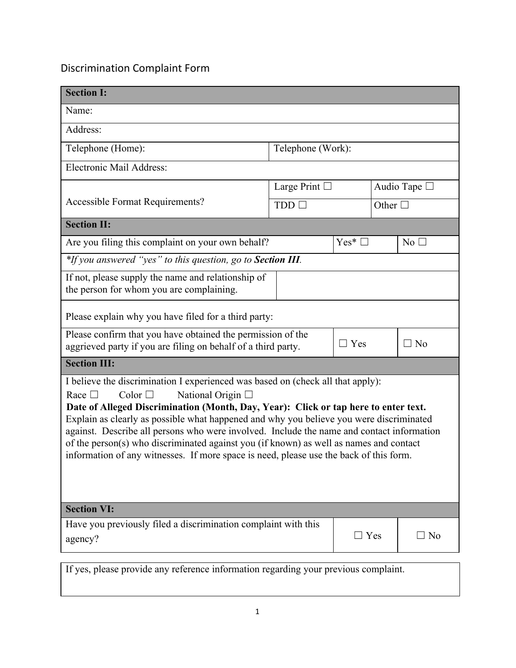## Discrimination Complaint Form

| <b>Section I:</b>                                                                                                                                                                                                                                                                                                                                                                                                                                                                                                                                                                                           |                           |                   |                 |                |  |
|-------------------------------------------------------------------------------------------------------------------------------------------------------------------------------------------------------------------------------------------------------------------------------------------------------------------------------------------------------------------------------------------------------------------------------------------------------------------------------------------------------------------------------------------------------------------------------------------------------------|---------------------------|-------------------|-----------------|----------------|--|
| Name:                                                                                                                                                                                                                                                                                                                                                                                                                                                                                                                                                                                                       |                           |                   |                 |                |  |
| Address:                                                                                                                                                                                                                                                                                                                                                                                                                                                                                                                                                                                                    |                           |                   |                 |                |  |
| Telephone (Home):                                                                                                                                                                                                                                                                                                                                                                                                                                                                                                                                                                                           | Telephone (Work):         |                   |                 |                |  |
| Electronic Mail Address:                                                                                                                                                                                                                                                                                                                                                                                                                                                                                                                                                                                    |                           |                   |                 |                |  |
|                                                                                                                                                                                                                                                                                                                                                                                                                                                                                                                                                                                                             | Large Print $\Box$<br>TDD |                   | Audio Tape □    |                |  |
| <b>Accessible Format Requirements?</b>                                                                                                                                                                                                                                                                                                                                                                                                                                                                                                                                                                      |                           |                   | Other $\square$ |                |  |
| <b>Section II:</b>                                                                                                                                                                                                                                                                                                                                                                                                                                                                                                                                                                                          |                           |                   |                 |                |  |
| Are you filing this complaint on your own behalf?                                                                                                                                                                                                                                                                                                                                                                                                                                                                                                                                                           |                           | $Yes^*$ $\square$ |                 | $No$ $\square$ |  |
| *If you answered "yes" to this question, go to Section III.                                                                                                                                                                                                                                                                                                                                                                                                                                                                                                                                                 |                           |                   |                 |                |  |
| If not, please supply the name and relationship of<br>the person for whom you are complaining.                                                                                                                                                                                                                                                                                                                                                                                                                                                                                                              |                           |                   |                 |                |  |
| Please explain why you have filed for a third party:                                                                                                                                                                                                                                                                                                                                                                                                                                                                                                                                                        |                           |                   |                 |                |  |
| Please confirm that you have obtained the permission of the<br>aggrieved party if you are filing on behalf of a third party.                                                                                                                                                                                                                                                                                                                                                                                                                                                                                |                           | $\Box$ Yes        |                 | $\Box$ No      |  |
| <b>Section III:</b>                                                                                                                                                                                                                                                                                                                                                                                                                                                                                                                                                                                         |                           |                   |                 |                |  |
| I believe the discrimination I experienced was based on (check all that apply):<br>Color $\Box$<br>National Origin $\Box$<br>Race $\Box$<br>Date of Alleged Discrimination (Month, Day, Year): Click or tap here to enter text.<br>Explain as clearly as possible what happened and why you believe you were discriminated<br>against. Describe all persons who were involved. Include the name and contact information<br>of the person(s) who discriminated against you (if known) as well as names and contact<br>information of any witnesses. If more space is need, please use the back of this form. |                           |                   |                 |                |  |
| <b>Section VI:</b>                                                                                                                                                                                                                                                                                                                                                                                                                                                                                                                                                                                          |                           |                   |                 |                |  |
| Have you previously filed a discrimination complaint with this<br>agency?                                                                                                                                                                                                                                                                                                                                                                                                                                                                                                                                   |                           | $\Box$ Yes        |                 | $\Box$ No      |  |
| If yes, please provide any reference information regarding your previous complaint.                                                                                                                                                                                                                                                                                                                                                                                                                                                                                                                         |                           |                   |                 |                |  |